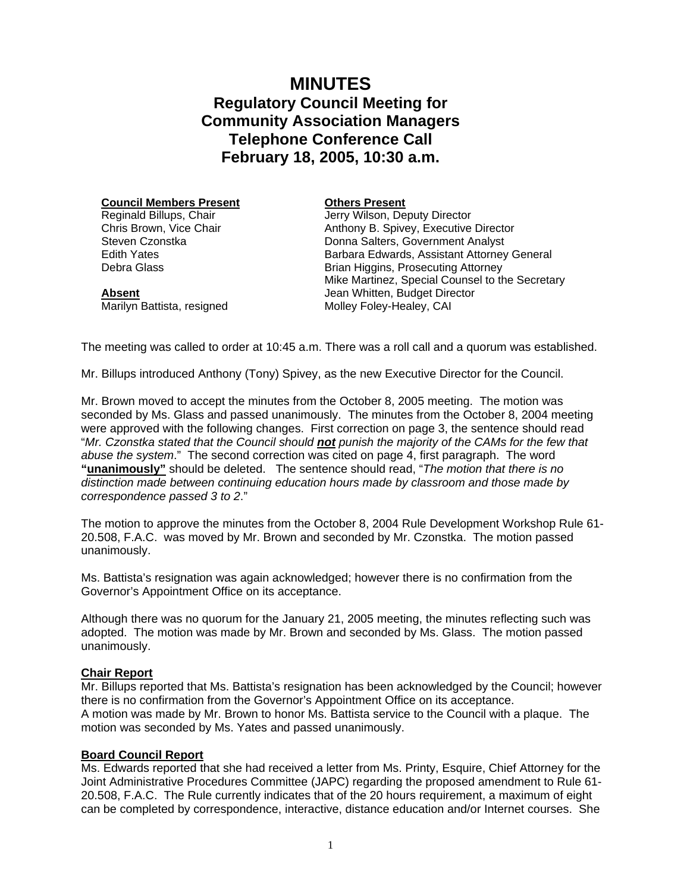# **MINUTES Regulatory Council Meeting for Community Association Managers Telephone Conference Call February 18, 2005, 10:30 a.m.**

**Council Members Present** Reginald Billups, Chair Chris Brown, Vice Chair Steven Czonstka

Edith Yates Debra Glass

**Absent**

**Others Present**

Jerry Wilson, Deputy Director Anthony B. Spivey, Executive Director Donna Salters, Government Analyst Barbara Edwards, Assistant Attorney General Brian Higgins, Prosecuting Attorney Mike Martinez, Special Counsel to the Secretary Jean Whitten, Budget Director Molley Foley-Healey, CAI

Marilyn Battista, resigned

The meeting was called to order at 10:45 a.m. There was a roll call and a quorum was established.

Mr. Billups introduced Anthony (Tony) Spivey, as the new Executive Director for the Council.

Mr. Brown moved to accept the minutes from the October 8, 2005 meeting. The motion was seconded by Ms. Glass and passed unanimously. The minutes from the October 8, 2004 meeting were approved with the following changes. First correction on page 3, the sentence should read "*Mr. Czonstka stated that the Council should not punish the majority of the CAMs for the few that abuse the system*." The second correction was cited on page 4, first paragraph. The word **"unanimously"** should be deleted. The sentence should read, "*The motion that there is no distinction made between continuing education hours made by classroom and those made by correspondence passed 3 to 2*."

The motion to approve the minutes from the October 8, 2004 Rule Development Workshop Rule 61- 20.508, F.A.C. was moved by Mr. Brown and seconded by Mr. Czonstka. The motion passed unanimously.

Ms. Battista's resignation was again acknowledged; however there is no confirmation from the Governor's Appointment Office on its acceptance.

Although there was no quorum for the January 21, 2005 meeting, the minutes reflecting such was adopted. The motion was made by Mr. Brown and seconded by Ms. Glass. The motion passed unanimously.

# **Chair Report**

Mr. Billups reported that Ms. Battista's resignation has been acknowledged by the Council; however there is no confirmation from the Governor's Appointment Office on its acceptance. A motion was made by Mr. Brown to honor Ms. Battista service to the Council with a plaque. The motion was seconded by Ms. Yates and passed unanimously.

# **Board Council Report**

Ms. Edwards reported that she had received a letter from Ms. Printy, Esquire, Chief Attorney for the Joint Administrative Procedures Committee (JAPC) regarding the proposed amendment to Rule 61- 20.508, F.A.C. The Rule currently indicates that of the 20 hours requirement, a maximum of eight can be completed by correspondence, interactive, distance education and/or Internet courses. She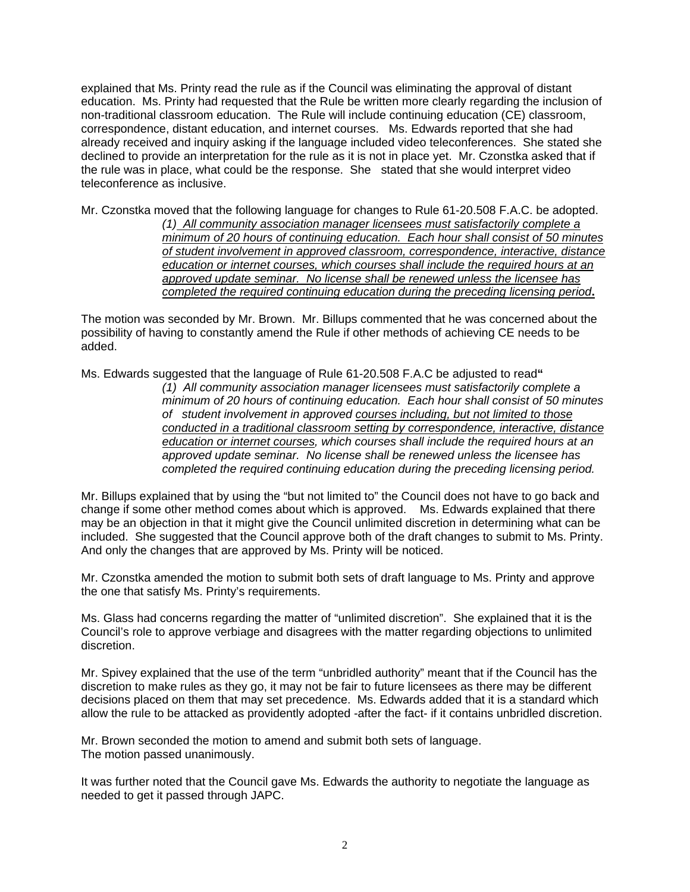explained that Ms. Printy read the rule as if the Council was eliminating the approval of distant education. Ms. Printy had requested that the Rule be written more clearly regarding the inclusion of non-traditional classroom education. The Rule will include continuing education (CE) classroom, correspondence, distant education, and internet courses. Ms. Edwards reported that she had already received and inquiry asking if the language included video teleconferences. She stated she declined to provide an interpretation for the rule as it is not in place yet. Mr. Czonstka asked that if the rule was in place, what could be the response. She stated that she would interpret video teleconference as inclusive.

Mr. Czonstka moved that the following language for changes to Rule 61-20.508 F.A.C. be adopted. *(1) All community association manager licensees must satisfactorily complete a minimum of 20 hours of continuing education. Each hour shall consist of 50 minutes of student involvement in approved classroom, correspondence, interactive, distance education or internet courses, which courses shall include the required hours at an approved update seminar. No license shall be renewed unless the licensee has completed the required continuing education during the preceding licensing period***.** 

The motion was seconded by Mr. Brown. Mr. Billups commented that he was concerned about the possibility of having to constantly amend the Rule if other methods of achieving CE needs to be added.

Ms. Edwards suggested that the language of Rule 61-20.508 F.A.C be adjusted to read**"** 

*(1) All community association manager licensees must satisfactorily complete a minimum of 20 hours of continuing education. Each hour shall consist of 50 minutes of student involvement in approved courses including, but not limited to those conducted in a traditional classroom setting by correspondence, interactive, distance education or internet courses, which courses shall include the required hours at an approved update seminar. No license shall be renewed unless the licensee has completed the required continuing education during the preceding licensing period.* 

Mr. Billups explained that by using the "but not limited to" the Council does not have to go back and change if some other method comes about which is approved. Ms. Edwards explained that there may be an objection in that it might give the Council unlimited discretion in determining what can be included. She suggested that the Council approve both of the draft changes to submit to Ms. Printy. And only the changes that are approved by Ms. Printy will be noticed.

Mr. Czonstka amended the motion to submit both sets of draft language to Ms. Printy and approve the one that satisfy Ms. Printy's requirements.

Ms. Glass had concerns regarding the matter of "unlimited discretion". She explained that it is the Council's role to approve verbiage and disagrees with the matter regarding objections to unlimited discretion.

Mr. Spivey explained that the use of the term "unbridled authority" meant that if the Council has the discretion to make rules as they go, it may not be fair to future licensees as there may be different decisions placed on them that may set precedence. Ms. Edwards added that it is a standard which allow the rule to be attacked as providently adopted -after the fact- if it contains unbridled discretion.

Mr. Brown seconded the motion to amend and submit both sets of language. The motion passed unanimously.

It was further noted that the Council gave Ms. Edwards the authority to negotiate the language as needed to get it passed through JAPC.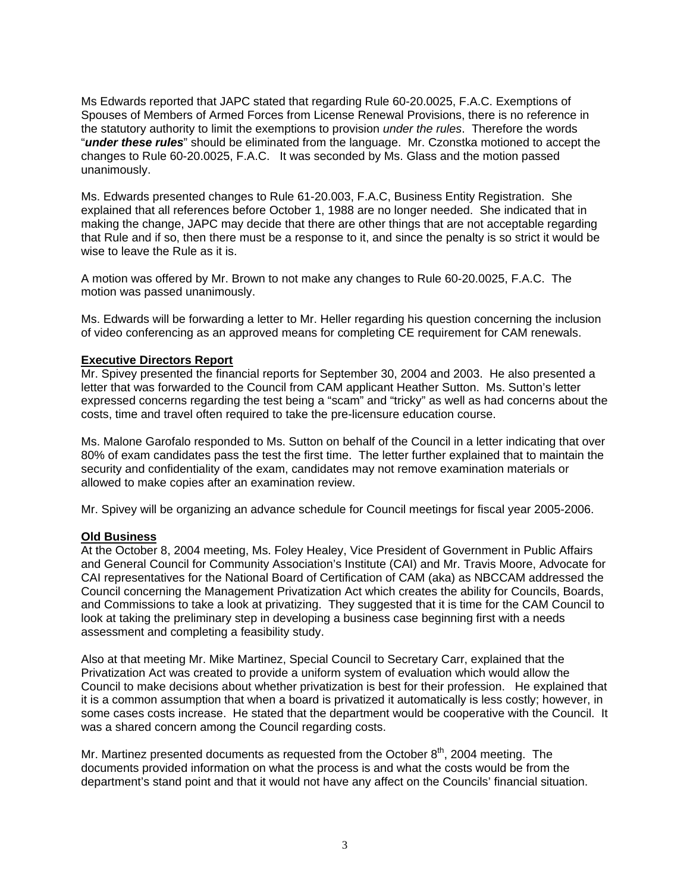Ms Edwards reported that JAPC stated that regarding Rule 60-20.0025, F.A.C. Exemptions of Spouses of Members of Armed Forces from License Renewal Provisions, there is no reference in the statutory authority to limit the exemptions to provision *under the rules*. Therefore the words "*under these rules*" should be eliminated from the language. Mr. Czonstka motioned to accept the changes to Rule 60-20.0025, F.A.C. It was seconded by Ms. Glass and the motion passed unanimously.

Ms. Edwards presented changes to Rule 61-20.003, F.A.C, Business Entity Registration. She explained that all references before October 1, 1988 are no longer needed. She indicated that in making the change, JAPC may decide that there are other things that are not acceptable regarding that Rule and if so, then there must be a response to it, and since the penalty is so strict it would be wise to leave the Rule as it is.

A motion was offered by Mr. Brown to not make any changes to Rule 60-20.0025, F.A.C. The motion was passed unanimously.

Ms. Edwards will be forwarding a letter to Mr. Heller regarding his question concerning the inclusion of video conferencing as an approved means for completing CE requirement for CAM renewals.

## **Executive Directors Report**

Mr. Spivey presented the financial reports for September 30, 2004 and 2003. He also presented a letter that was forwarded to the Council from CAM applicant Heather Sutton. Ms. Sutton's letter expressed concerns regarding the test being a "scam" and "tricky" as well as had concerns about the costs, time and travel often required to take the pre-licensure education course.

Ms. Malone Garofalo responded to Ms. Sutton on behalf of the Council in a letter indicating that over 80% of exam candidates pass the test the first time. The letter further explained that to maintain the security and confidentiality of the exam, candidates may not remove examination materials or allowed to make copies after an examination review.

Mr. Spivey will be organizing an advance schedule for Council meetings for fiscal year 2005-2006.

#### **Old Business**

At the October 8, 2004 meeting, Ms. Foley Healey, Vice President of Government in Public Affairs and General Council for Community Association's Institute (CAI) and Mr. Travis Moore, Advocate for CAI representatives for the National Board of Certification of CAM (aka) as NBCCAM addressed the Council concerning the Management Privatization Act which creates the ability for Councils, Boards, and Commissions to take a look at privatizing. They suggested that it is time for the CAM Council to look at taking the preliminary step in developing a business case beginning first with a needs assessment and completing a feasibility study.

Also at that meeting Mr. Mike Martinez, Special Council to Secretary Carr, explained that the Privatization Act was created to provide a uniform system of evaluation which would allow the Council to make decisions about whether privatization is best for their profession. He explained that it is a common assumption that when a board is privatized it automatically is less costly; however, in some cases costs increase. He stated that the department would be cooperative with the Council. It was a shared concern among the Council regarding costs.

Mr. Martinez presented documents as requested from the October  $8<sup>th</sup>$ , 2004 meeting. The documents provided information on what the process is and what the costs would be from the department's stand point and that it would not have any affect on the Councils' financial situation.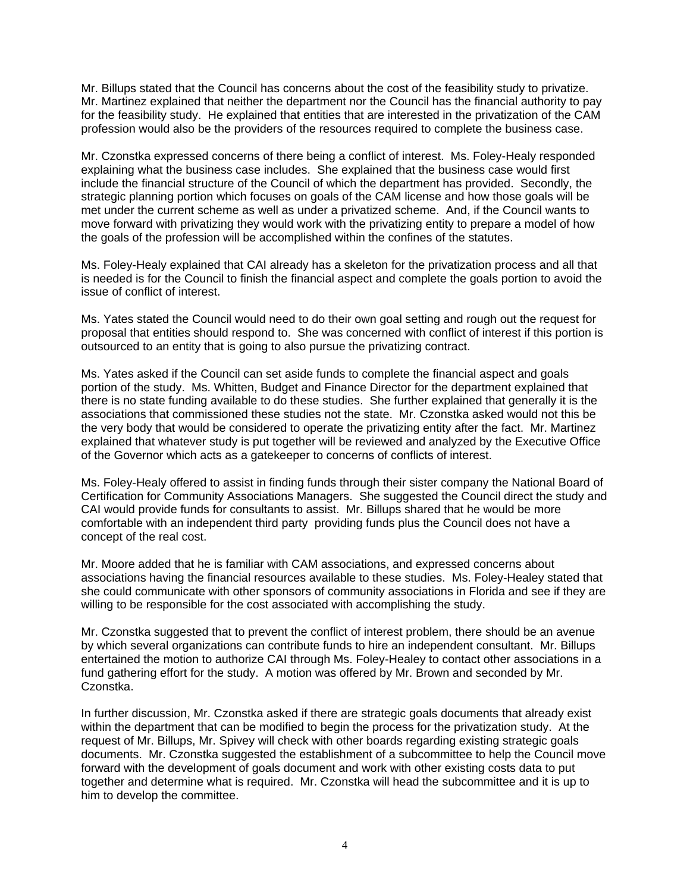Mr. Billups stated that the Council has concerns about the cost of the feasibility study to privatize. Mr. Martinez explained that neither the department nor the Council has the financial authority to pay for the feasibility study. He explained that entities that are interested in the privatization of the CAM profession would also be the providers of the resources required to complete the business case.

Mr. Czonstka expressed concerns of there being a conflict of interest. Ms. Foley-Healy responded explaining what the business case includes. She explained that the business case would first include the financial structure of the Council of which the department has provided. Secondly, the strategic planning portion which focuses on goals of the CAM license and how those goals will be met under the current scheme as well as under a privatized scheme. And, if the Council wants to move forward with privatizing they would work with the privatizing entity to prepare a model of how the goals of the profession will be accomplished within the confines of the statutes.

Ms. Foley-Healy explained that CAI already has a skeleton for the privatization process and all that is needed is for the Council to finish the financial aspect and complete the goals portion to avoid the issue of conflict of interest.

Ms. Yates stated the Council would need to do their own goal setting and rough out the request for proposal that entities should respond to. She was concerned with conflict of interest if this portion is outsourced to an entity that is going to also pursue the privatizing contract.

Ms. Yates asked if the Council can set aside funds to complete the financial aspect and goals portion of the study. Ms. Whitten, Budget and Finance Director for the department explained that there is no state funding available to do these studies. She further explained that generally it is the associations that commissioned these studies not the state. Mr. Czonstka asked would not this be the very body that would be considered to operate the privatizing entity after the fact. Mr. Martinez explained that whatever study is put together will be reviewed and analyzed by the Executive Office of the Governor which acts as a gatekeeper to concerns of conflicts of interest.

Ms. Foley-Healy offered to assist in finding funds through their sister company the National Board of Certification for Community Associations Managers. She suggested the Council direct the study and CAI would provide funds for consultants to assist. Mr. Billups shared that he would be more comfortable with an independent third party providing funds plus the Council does not have a concept of the real cost.

Mr. Moore added that he is familiar with CAM associations, and expressed concerns about associations having the financial resources available to these studies. Ms. Foley-Healey stated that she could communicate with other sponsors of community associations in Florida and see if they are willing to be responsible for the cost associated with accomplishing the study.

Mr. Czonstka suggested that to prevent the conflict of interest problem, there should be an avenue by which several organizations can contribute funds to hire an independent consultant. Mr. Billups entertained the motion to authorize CAI through Ms. Foley-Healey to contact other associations in a fund gathering effort for the study. A motion was offered by Mr. Brown and seconded by Mr. Czonstka.

In further discussion, Mr. Czonstka asked if there are strategic goals documents that already exist within the department that can be modified to begin the process for the privatization study. At the request of Mr. Billups, Mr. Spivey will check with other boards regarding existing strategic goals documents. Mr. Czonstka suggested the establishment of a subcommittee to help the Council move forward with the development of goals document and work with other existing costs data to put together and determine what is required. Mr. Czonstka will head the subcommittee and it is up to him to develop the committee.